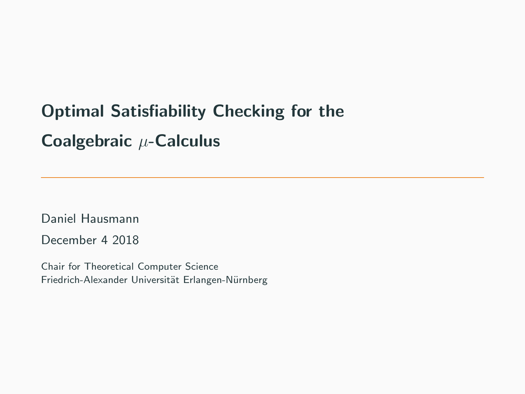# Optimal Satisfiability Checking for the Coalgebraic  $\mu$ -Calculus

Daniel Hausmann

December 4 2018

Chair for Theoretical Computer Science Friedrich-Alexander Universität Erlangen-Nürnberg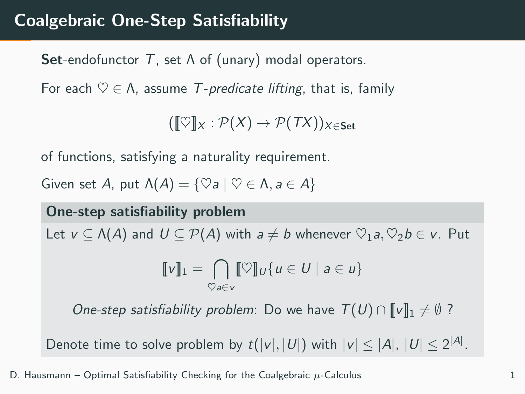## Coalgebraic One-Step Satisfiability

**Set-endofunctor T**, set  $\Lambda$  of (unary) modal operators.

For each  $\heartsuit \in \Lambda$ , assume T-predicate lifting, that is, family

 $(\llbracket \heartsuit \rrbracket_X : \mathcal{P}(X) \to \mathcal{P}(TX))_{X \in \mathsf{Set}}$ 

of functions, satisfying a naturality requirement.

Given set A, put  $\Lambda(A) = \{ \heartsuit a \mid \heartsuit \in \Lambda, a \in A \}$ 

One-step satisfiability problem Let  $v \subset \Lambda(A)$  and  $U \subset \mathcal{P}(A)$  with  $a \neq b$  whenever  $\heartsuit_1a, \heartsuit_2b \in v$ . Put  $\llbracket v \rrbracket_1 = \bigcap \llbracket \heartsuit \rrbracket_U \{ u \in U \mid a \in u \}$  $\heartsuit$ a∈v One-step satisfiability problem: Do we have  $T(U) \cap ||v||_1 \neq \emptyset$ ?

Denote time to solve problem by  $t(|v|,|U|)$  with  $|v| \le |A|, |U| \le 2^{|A|}$ .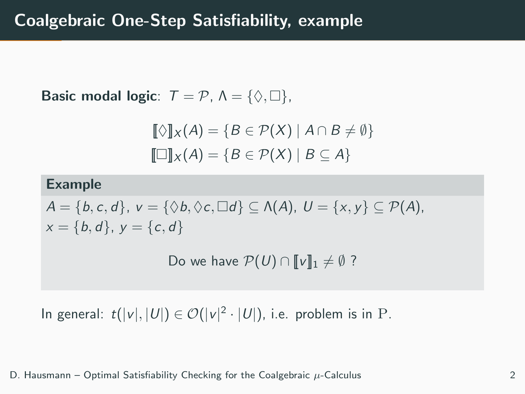Basic modal logic:  $T = P$ ,  $\Lambda = \{ \Diamond, \Box \}$ ,

$$
\llbracket \Diamond \rrbracket_X(A) = \{ B \in \mathcal{P}(X) \mid A \cap B \neq \emptyset \} \llbracket \Box \rrbracket_X(A) = \{ B \in \mathcal{P}(X) \mid B \subseteq A \}
$$

#### Example

 $A = \{b, c, d\}, v = \{\Diamond b, \Diamond c, \Box d\} \subseteq \Lambda(A), U = \{x, y\} \subseteq \mathcal{P}(A),$  $x = \{b, d\}, y = \{c, d\}$ 

Do we have  $\mathcal{P}(U) \cap \llbracket v \rrbracket_1 \neq \emptyset$ ?

In general:  $t(|v|, |U|) \in \mathcal{O}(|v|^2 \cdot |U|)$ , i.e. problem is in P.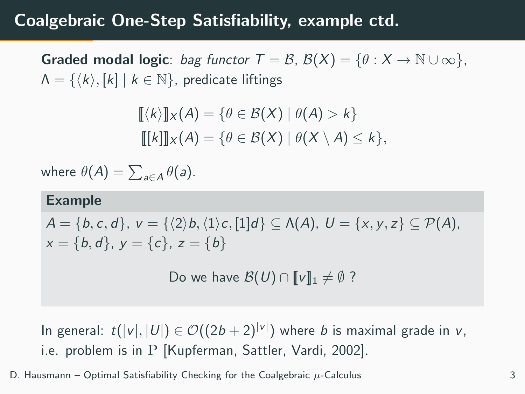## Coalgebraic One-Step Satisfiability, example ctd.

**Graded modal logic**: bag functor  $T = \mathcal{B}$ ,  $\mathcal{B}(X) = \{\theta : X \to \mathbb{N} \cup \infty\},\$  $\Lambda = \{ \langle k \rangle, [k] | k \in \mathbb{N} \}$ , predicate liftings

$$
[[\langle k \rangle]]_X(A) = \{ \theta \in \mathcal{B}(X) \mid \theta(A) > k \}
$$

$$
[[k]]_X(A) = \{ \theta \in \mathcal{B}(X) \mid \theta(X \setminus A) \leq k \},
$$

where  $\theta(A)=\sum_{a\in A}\theta(a).$ 

#### Example

 $A = \{b, c, d\}, v = \{(2) b, (1) c, [1]d\} \subset \Lambda(A), U = \{x, y, z\} \subset \mathcal{P}(A),$  $x = \{b, d\}, y = \{c\}, z = \{b\}$ 

Do we have  $\mathcal{B}(U) \cap \llbracket v \rrbracket_1 \neq \emptyset$ ?

In general:  $t(|v|,|U|) \in \mathcal{O}((2b+2)^{|v|})$  where b is maximal grade in v, i.e. problem is in P [Kupferman, Sattler, Vardi, 2002].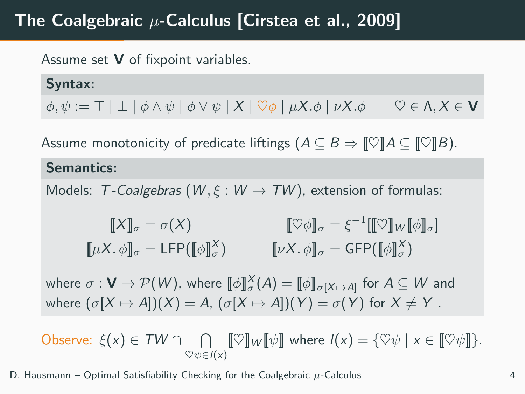## The Coalgebraic  $\mu$ -Calculus [Cirstea et al., 2009]

Assume set V of fixpoint variables.

Syntax:  $\phi, \psi := \top | \bot | \phi \wedge \psi | \phi \vee \psi | X | \heartsuit \phi | \mu X. \phi | \nu X. \phi \quad \heartsuit \in \Lambda, X \in \mathbf{V}$ 

Assume monotonicity of predicate liftings  $(A \subseteq B \Rightarrow \llbracket \heartsuit \rrbracket A \subseteq \llbracket \heartsuit \rrbracket B)$ .

#### Semantics:

Models: T-Coalgebras ( $W, \xi : W \rightarrow TW$ ), extension of formulas:

$$
\llbracket X \rrbracket_{\sigma} = \sigma(X) \qquad \qquad \llbracket \heartsuit \phi \rrbracket_{\sigma} = \xi^{-1} \llbracket \llbracket \heartsuit \rrbracket_{W} \llbracket \phi \rrbracket_{\sigma} \rrbracket
$$
\n
$$
\llbracket \mu X. \phi \rrbracket_{\sigma} = \text{GFP}(\llbracket \phi \rrbracket_{\sigma}^{X})
$$

where  $\sigma: \mathbf{V} \to \mathcal{P}(W)$ , where  $\llbracket \phi \rrbracket_{\sigma}^X(A) = \llbracket \phi \rrbracket_{\sigma[X \mapsto A]}$  for  $A \subseteq W$  and where  $(\sigma[X \mapsto A])(X) = A$ ,  $(\sigma[X \mapsto A])(Y) = \sigma(Y)$  for  $X \neq Y$ .

Observe:  $\xi(x) \in TW \cap \cap \llbracket \heartsuit \rrbracket_W \llbracket \psi \rrbracket$  where  $I(x) = \{\heartsuit \psi \mid x \in \llbracket \heartsuit \psi \rrbracket\}.$  $\heartsuit \psi \in I(x)$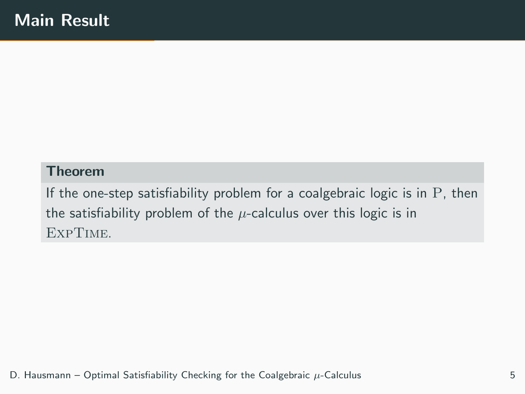#### Theorem

If the one-step satisfiability problem for a coalgebraic logic is in  $P$ , then the satisfiability problem of the  $\mu$ -calculus over this logic is in ExpTime.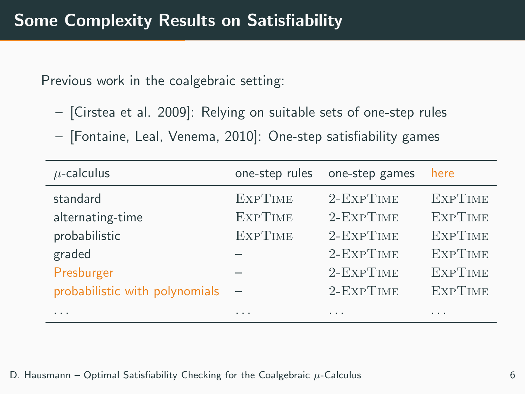Previous work in the coalgebraic setting:

- [Cirstea et al. 2009]: Relying on suitable sets of one-step rules
- [Fontaine, Leal, Venema, 2010]: One-step satisfiability games

| $\mu$ -calculus                | one-step rules | one-step games   | here           |
|--------------------------------|----------------|------------------|----------------|
| standard                       | <b>EXPTIME</b> | 2-EXPTIME        | <b>EXPTIME</b> |
| alternating-time               | <b>EXPTIME</b> | 2-EXPTIME        | <b>EXPTIME</b> |
| probabilistic                  | <b>EXPTIME</b> | $2$ -Exp $T$ IME | <b>EXPTIME</b> |
| graded                         |                | 2-EXPTIME        | <b>EXPTIME</b> |
| Presburger                     |                | 2-EXPTIME        | <b>EXPTIME</b> |
| probabilistic with polynomials |                | 2-EXPTIME        | <b>EXPTIME</b> |
| .                              | .              | .                | .              |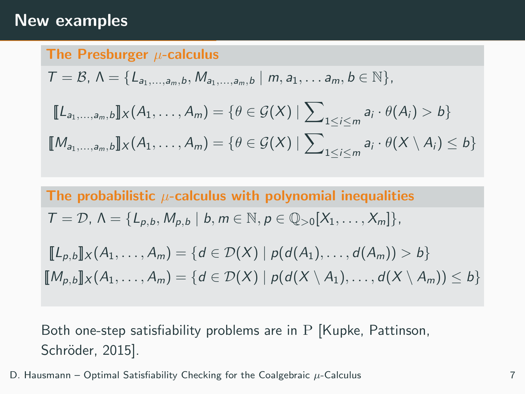### New examples

The Presburger  $\mu$ -calculus  $T = \mathcal{B}, \Lambda = \{L_{a_1,...,a_m,b}, M_{a_1,...,a_m,b} \mid m, a_1,...,a_m, b \in \mathbb{N}\},$  $[\![L_{a_1,\ldots,a_m,b}]\!] \times (A_1,\ldots,A_m) = \{\theta \in \mathcal{G}(X) \mid \sum\nolimits_{1 \leq i \leq m} a_i \cdot \theta(A_i) > b\}$  $\llbracket \mathcal{M}_{a_1,...,a_m,b} \rrbracket_X(A_1,\ldots,A_m) = \{ \theta \in \mathcal{G}(X) \mid \sum\nolimits_{1 \leq i \leq m} a_i \cdot \theta(X \setminus A_i) \leq b \}$ 

The probabilistic  $\mu$ -calculus with polynomial inequalities  $T = \mathcal{D}, \Lambda = \{L_{p,b}, M_{p,b} \mid b, m \in \mathbb{N}, p \in \mathbb{Q}_{>0}[X_1, \ldots, X_m]\},$  $[L_{p,b}]_X(A_1,...,A_m) = \{d \in \mathcal{D}(X) \mid p(d(A_1),...,d(A_m)) > b\}$  $[M_{p,b}]\!]_X (A_1, \ldots, A_m) = \{d \in \mathcal{D}(X) \mid p(d(X \setminus A_1), \ldots, d(X \setminus A_m)) \leq b\}$ 

Both one-step satisfiability problems are in P [Kupke, Pattinson, Schröder, 2015].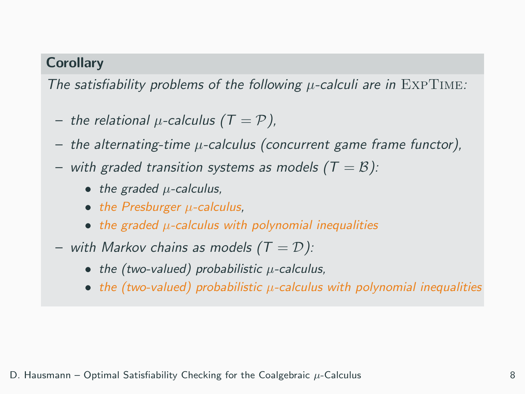#### **Corollary**

The satisfiability problems of the following  $\mu$ -calculi are in EXPTIME:

- the relational  $\mu$ -calculus (T = P),
- $-$  the alternating-time  $\mu$ -calculus (concurrent game frame functor),
- with graded transition systems as models  $(T = B)$ :
	- the graded  $\mu$ -calculus,
	- $\bullet$  the Presburger  $\mu$ -calculus,
	- $\bullet$  the graded  $\mu$ -calculus with polynomial inequalities
- with Markov chains as models  $(T = D)$ :
	- the (two-valued) probabilistic  $\mu$ -calculus,
	- the (two-valued) probabilistic  $\mu$ -calculus with polynomial inequalities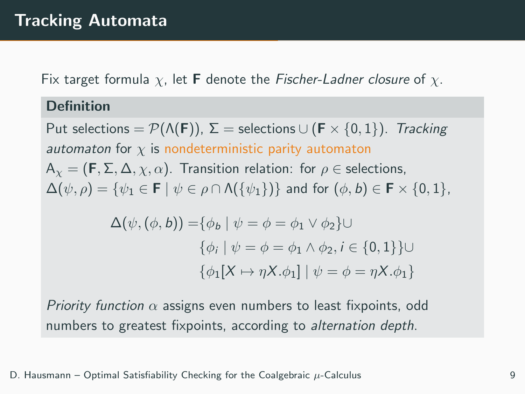Fix target formula  $\chi$ , let **F** denote the Fischer-Ladner closure of  $\chi$ .

#### Definition

Put selections =  $\mathcal{P}(\Lambda(\mathbf{F}))$ ,  $\Sigma$  = selections  $\cup$  (**F**  $\times$  {0, 1}). Tracking automaton for  $\chi$  is nondeterministic parity automaton  $A_{\gamma} = (F, \Sigma, \Delta, \gamma, \alpha)$ . Transition relation: for  $\rho \in$  selections,  $\Delta(\psi, \rho) = {\psi_1 \in \mathbf{F} \mid \psi \in \rho \cap \Lambda({\psi_1}) }$  and for  $(\phi, b) \in \mathbf{F} \times \{0, 1\}$ ,  $\Delta(\psi, (\phi, b)) = {\phi_b | \psi = \phi = \phi_1 \vee \phi_2} \cup$  $\{\phi_i \mid \psi = \phi = \phi_1 \land \phi_2, i \in \{0, 1\}\}\cup$  $\{\phi_1[X \mapsto \eta X.\phi_1] \mid \psi = \phi = \eta X.\phi_1\}$ 

Priority function  $\alpha$  assigns even numbers to least fixpoints, odd numbers to greatest fixpoints, according to alternation depth.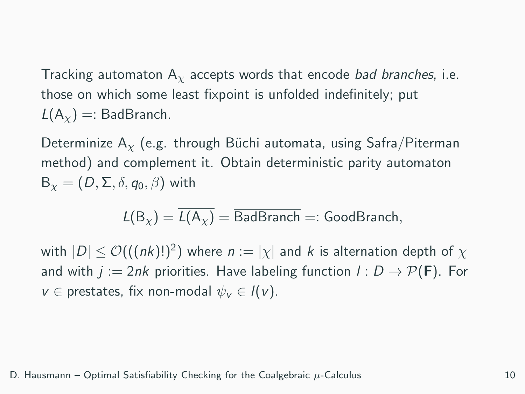Tracking automaton  $A<sub>x</sub>$  accepts words that encode bad branches, i.e. those on which some least fixpoint is unfolded indefinitely; put  $L(A_y) =:$  BadBranch.

Determinize A<sub>x</sub> (e.g. through Büchi automata, using Safra/Piterman method) and complement it. Obtain deterministic parity automaton  $B_{\gamma} = (D, \Sigma, \delta, q_0, \beta)$  with

$$
L(B_{\chi}) = \overline{L(A_{\chi})} = \overline{\mathsf{BadBranch}} =: \mathsf{GoodBranch},
$$

with  $|D| \leq \mathcal{O}(((nk)!)^2)$  where  $n := |\chi|$  and  $k$  is alternation depth of  $\chi$ and with  $j := 2nk$  priorities. Have labeling function  $l : D \to \mathcal{P}(\mathbf{F})$ . For  $v \in$  prestates, fix non-modal  $\psi_v \in I(v)$ .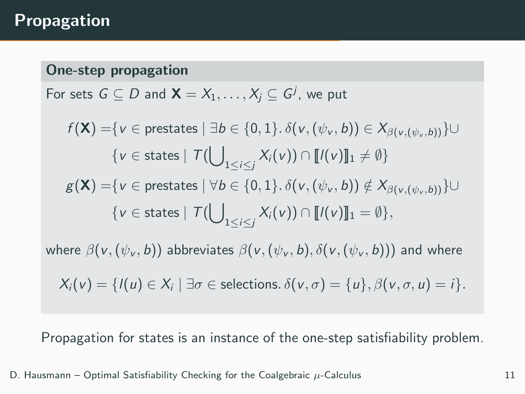## Propagation

#### One-step propagation

For sets  $G \subseteq D$  and  $\mathsf{X} = X_1, \ldots, X_j \subseteq G^j,$  we put

$$
f(\mathbf{X}) = \{v \in \text{prestates} \mid \exists b \in \{0, 1\}.\ \delta(v, (\psi_v, b)) \in X_{\beta(v, (\psi_v, b))}\} \cup \{v \in \text{states} \mid \mathcal{T}(\bigcup_{1 \leq i \leq j} X_i(v)) \cap [\![I(v)]\!]_1 \neq \emptyset\}
$$
\n
$$
g(\mathbf{X}) = \{v \in \text{prestates} \mid \forall b \in \{0, 1\}.\ \delta(v, (\psi_v, b)) \notin X_{\beta(v, (\psi_v, b))}\} \cup \{v \in \text{states} \mid \mathcal{T}(\bigcup_{1 \leq i \leq j} X_i(v)) \cap [\![I(v)]\!]_1 = \emptyset\},
$$

where  $\beta(v,(\psi_v, b))$  abbreviates  $\beta(v,(\psi_v, b), \delta(v,(\psi_v, b)))$  and where

$$
X_i(v) = \{l(u) \in X_i \mid \exists \sigma \in \text{selections. } \delta(v, \sigma) = \{u\}, \beta(v, \sigma, u) = i\}.
$$

Propagation for states is an instance of the one-step satisfiability problem.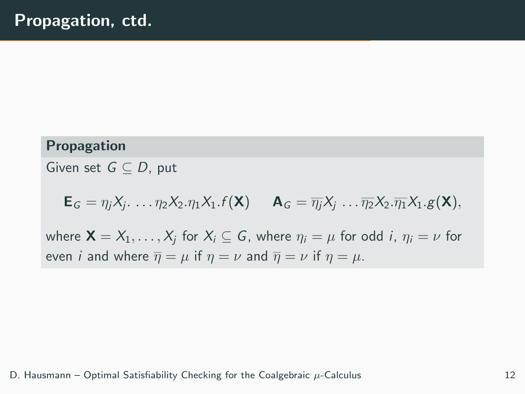#### Propagation

Given set  $G \subset D$ , put

 $\mathsf{E}_G = \eta_j X_j \ldots \eta_2 X_2 \ldots \eta_1 X_1 \ldots \mathsf{f}(\mathsf{X}) \quad \mathsf{A}_G = \overline{\eta_j} X_j \ldots \overline{\eta_2} X_2 \ldots \overline{\eta_1} X_1 \ldots \mathsf{g}(\mathsf{X}),$ 

where  $\mathbf{X} = X_1, \ldots, X_i$  for  $X_i \subseteq G$ , where  $\eta_i = \mu$  for odd i,  $\eta_i = \nu$  for even *i* and where  $\overline{\eta} = \mu$  if  $\eta = \nu$  and  $\overline{\eta} = \nu$  if  $\eta = \mu$ .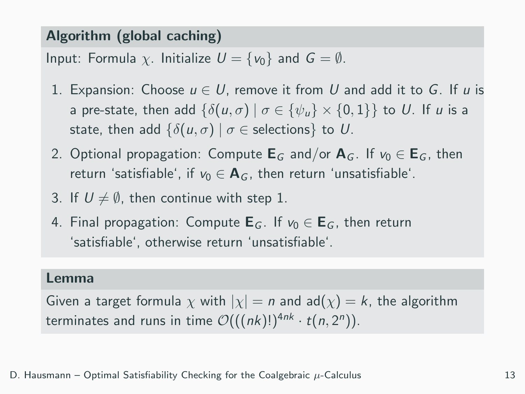#### Algorithm (global caching)

Input: Formula  $\chi$ . Initialize  $U = \{v_0\}$  and  $G = \emptyset$ .

- 1. Expansion: Choose  $u \in U$ , remove it from U and add it to G. If u is a pre-state, then add  $\{\delta(u,\sigma) \mid \sigma \in \{\psi_u\} \times \{0,1\}\}\)$  to U. If u is a state, then add  $\{\delta(u, \sigma) \mid \sigma \in \text{selections}\}\)$  to U.
- 2. Optional propagation: Compute  $E_G$  and/or  $A_G$ . If  $v_0 \in E_G$ , then return 'satisfiable', if  $v_0 \in \mathbf{A}_G$ , then return 'unsatisfiable'.
- 3. If  $U \neq \emptyset$ , then continue with step 1.
- 4. Final propagation: Compute  $E_G$ . If  $v_0 \in E_G$ , then return 'satisfiable', otherwise return 'unsatisfiable'.

#### Lemma

Given a target formula  $\chi$  with  $|\chi| = n$  and ad $(\chi) = k$ , the algorithm terminates and runs in time  $\mathcal{O}(((nk)!)^{4nk} \cdot t(n, 2^n))$ .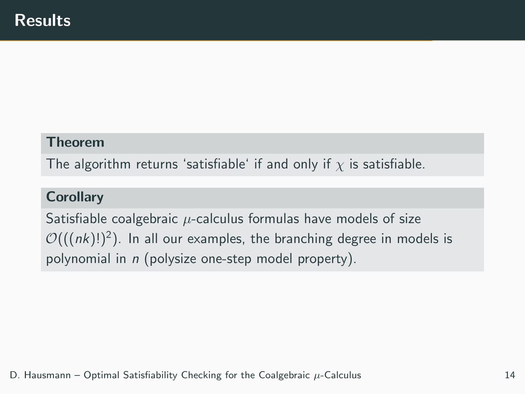#### Theorem

The algorithm returns 'satisfiable' if and only if  $\chi$  is satisfiable.

#### **Corollary**

Satisfiable coalgebraic  $\mu$ -calculus formulas have models of size  $\mathcal{O}(((nk)!)^2)$ . In all our examples, the branching degree in models is polynomial in n (polysize one-step model property).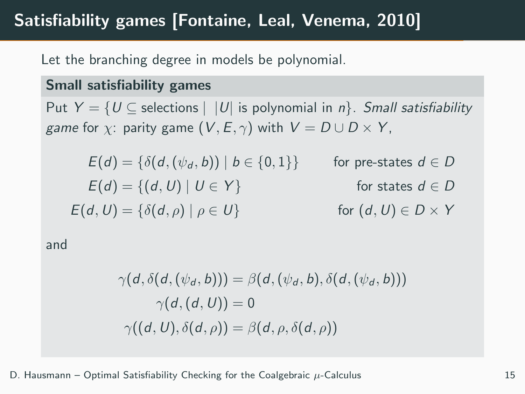## Satisfiability games [Fontaine, Leal, Venema, 2010]

Let the branching degree in models be polynomial.

#### Small satisfiability games

Put  $Y = \{U \subseteq \text{ selections} \mid |U| \text{ is polynomial in } n\}$ . Small satisfiability game for  $\chi$ : parity game  $(V, E, \gamma)$  with  $V = D \cup D \times Y$ ,

$$
E(d) = \{\delta(d, (\psi_d, b)) \mid b \in \{0, 1\}\} \qquad \text{for pre-states } d \in D
$$
  
\n
$$
E(d) = \{(d, U) \mid U \in Y\} \qquad \text{for states } d \in D
$$
  
\n
$$
E(d, U) = \{\delta(d, \rho) \mid \rho \in U\} \qquad \text{for } (d, U) \in D \times Y
$$

and

$$
\gamma(d, \delta(d, (\psi_d, b))) = \beta(d, (\psi_d, b), \delta(d, (\psi_d, b)))
$$

$$
\gamma(d, (d, U)) = 0
$$

$$
\gamma((d, U), \delta(d, \rho)) = \beta(d, \rho, \delta(d, \rho))
$$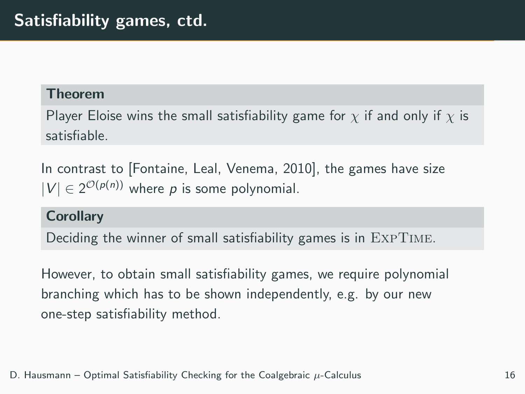#### Theorem

Player Eloise wins the small satisfiability game for  $\chi$  if and only if  $\chi$  is satisfiable.

In contrast to [Fontaine, Leal, Venema, 2010], the games have size  $|V| \in 2^{\mathcal{O}(p(n))}$  where p is some polynomial.

#### **Corollary**

Deciding the winner of small satisfiability games is in ExpTime.

However, to obtain small satisfiability games, we require polynomial branching which has to be shown independently, e.g. by our new one-step satisfiability method.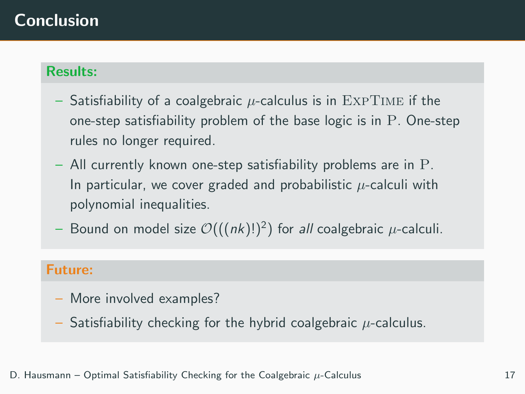## Conclusion

#### Results:

- Satisfiability of a coalgebraic  $\mu$ -calculus is in EXPTIME if the one-step satisfiability problem of the base logic is in P. One-step rules no longer required.
- All currently known one-step satisfiability problems are in P. In particular, we cover graded and probabilistic  $\mu$ -calculi with polynomial inequalities.
- $-$  Bound on model size  $\mathcal{O}(((nk)!)^2)$  for *all* coalgebraic  $\mu$ -calculi.

#### Future:

- More involved examples?
- Satisfiability checking for the hybrid coalgebraic  $\mu$ -calculus.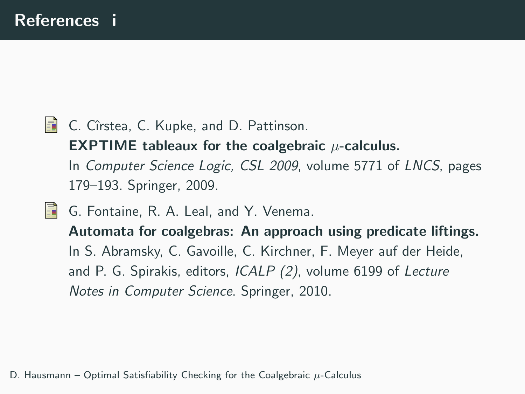- **C.** Cîrstea, C. Kupke, and D. Pattinson. **EXPTIME** tableaux for the coalgebraic  $\mu$ -calculus.
	- In Computer Science Logic, CSL 2009, volume 5771 of LNCS, pages 179–193. Springer, 2009.
- 歸 G. Fontaine, R. A. Leal, and Y. Venema.

Automata for coalgebras: An approach using predicate liftings. In S. Abramsky, C. Gavoille, C. Kirchner, F. Meyer auf der Heide, and P. G. Spirakis, editors, ICALP (2), volume 6199 of Lecture Notes in Computer Science. Springer, 2010.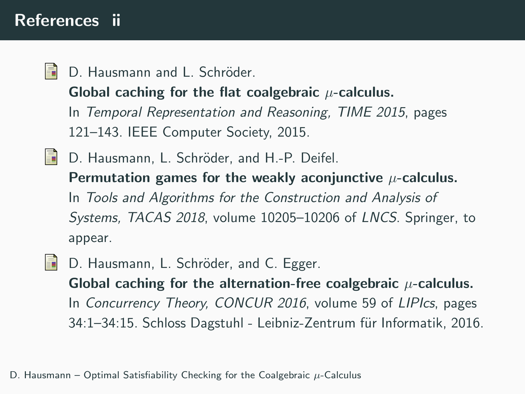## References ii

昴 D. Hausmann and L. Schröder.

Global caching for the flat coalgebraic  $\mu$ -calculus.

In Temporal Representation and Reasoning, TIME 2015, pages 121–143. IEEE Computer Society, 2015.

- **D.** Hausmann, L. Schröder, and H.-P. Deifel. Permutation games for the weakly aconjunctive  $\mu$ -calculus. In Tools and Algorithms for the Construction and Analysis of Systems, TACAS 2018, volume 10205–10206 of LNCS. Springer, to appear.
- D. Hausmann, L. Schröder, and C. Egger. H Global caching for the alternation-free coalgebraic  $\mu$ -calculus. In Concurrency Theory, CONCUR 2016, volume 59 of LIPIcs, pages 34:1–34:15. Schloss Dagstuhl - Leibniz-Zentrum für Informatik, 2016.